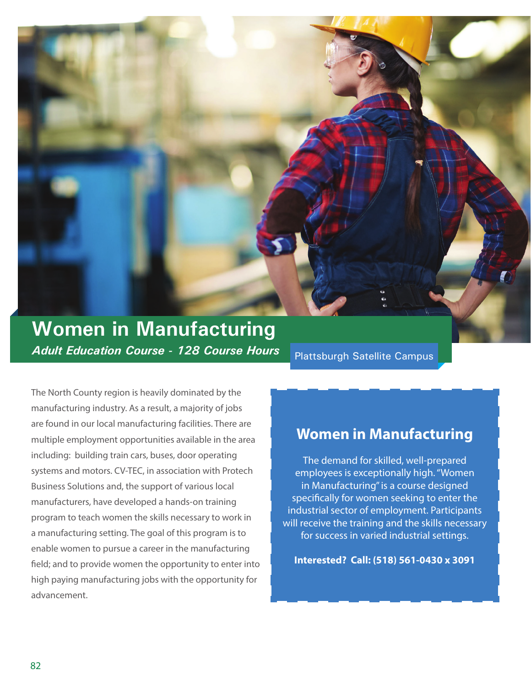

# **Women in Manufacturing** *Adult Education Course - 128 Course Hours*

Plattsburgh Satellite Campus

The North County region is heavily dominated by the manufacturing industry. As a result, a majority of jobs are found in our local manufacturing facilities. There are multiple employment opportunities available in the area including: building train cars, buses, door operating systems and motors. CV-TEC, in association with Protech Business Solutions and, the support of various local manufacturers, have developed a hands-on training program to teach women the skills necessary to work in a manufacturing setting. The goal of this program is to enable women to pursue a career in the manufacturing field; and to provide women the opportunity to enter into high paying manufacturing jobs with the opportunity for advancement.

## **Women in Manufacturing**

The demand for skilled, well-prepared employees is exceptionally high. "Women in Manufacturing" is a course designed specifically for women seeking to enter the industrial sector of employment. Participants will receive the training and the skills necessary for success in varied industrial settings.

**Interested? Call: (518) 561-0430 x 3091**